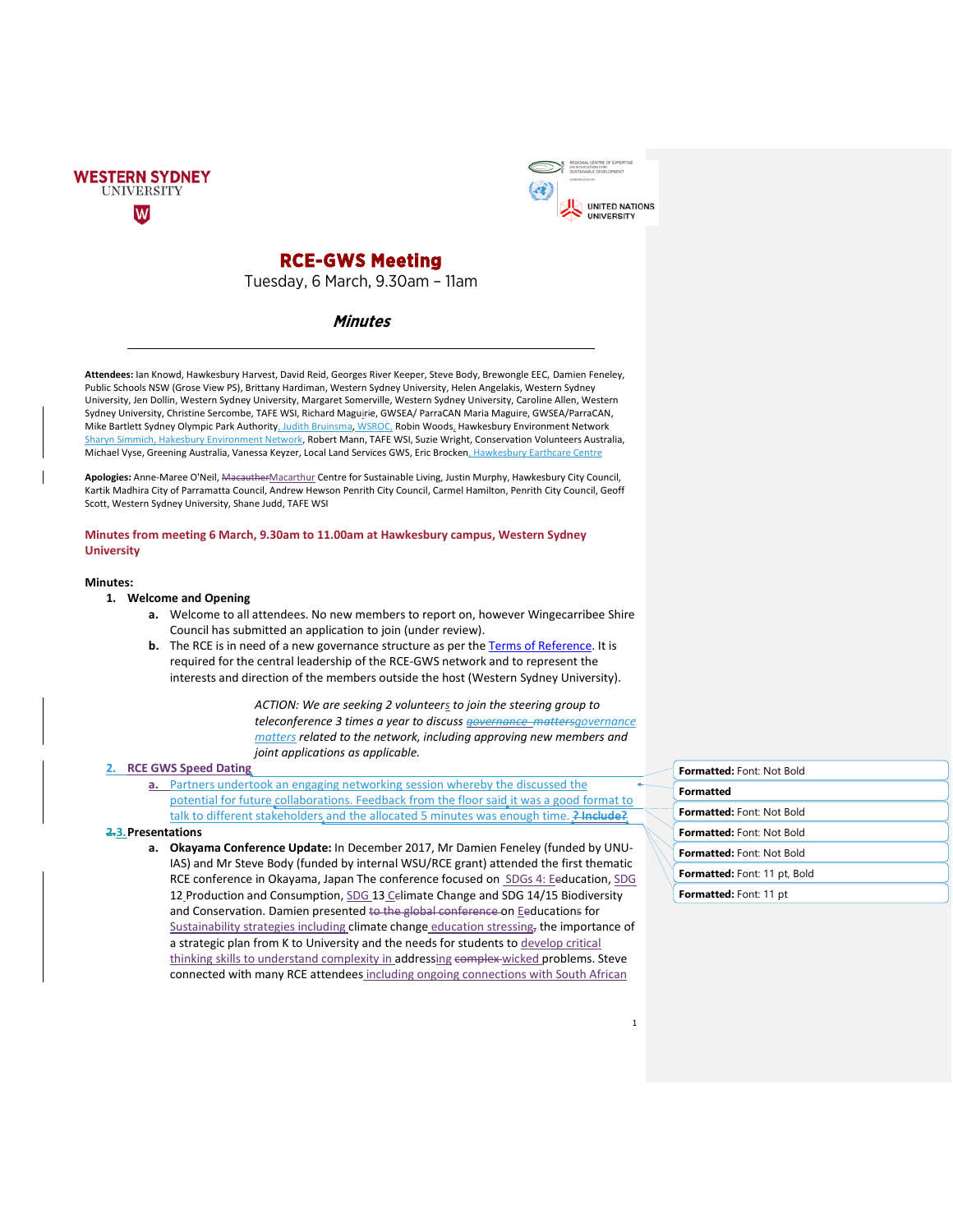



# **RCE-GWS Meeting**

Tuesday, 6 March, 9.30am – 11am

# **Minutes**

**Attendees:** Ian Knowd, Hawkesbury Harvest, David Reid, Georges River Keeper, Steve Body, Brewongle EEC, Damien Feneley, Public Schools NSW (Grose View PS), Brittany Hardiman, Western Sydney University, Helen Angelakis, Western Sydney University, Jen Dollin, Western Sydney University, Margaret Somerville, Western Sydney University, Caroline Allen, Western Sydney University, Christine Sercombe, TAFE WSI, Richard Maguirie, GWSEA/ ParraCAN Maria Maguire, GWSEA/ParraCAN, Mike Bartlett Sydney Olympic Park Authority, Judith Bruinsma, WSROC, Robin Woods, Hawkesbury Environment Network Sharyn Simmich, Hakesbury Environment Network, Robert Mann, TAFE WSI, Suzie Wright, Conservation Volunteers Australia, Michael Vyse, Greening Australia, Vanessa Keyzer, Local Land Services GWS, Eric Brocken, Hawkesbury Earthcare Centre

**Apologies:** Anne-Maree O'Neil, MacautherMacarthur Centre for Sustainable Living, Justin Murphy, Hawkesbury City Council, Kartik Madhira City of Parramatta Council, Andrew Hewson Penrith City Council, Carmel Hamilton, Penrith City Council, Geoff Scott, Western Sydney University, Shane Judd, TAFE WSI

### **Minutes from meeting 6 March, 9.30am to 11.00am at Hawkesbury campus, Western Sydney University**

#### **Minutes:**

# **1. Welcome and Opening**

- **a.** Welcome to all attendees. No new members to report on, however Wingecarribee Shire Council has submitted an application to join (under review).
- **b.** The RCE is in need of a new governance structure as per the [Terms of Reference.](https://westernsydney.edu.au/rcegws/rcegws/governance) It is required for the central leadership of the RCE-GWS network and to represent the interests and direction of the members outside the host (Western Sydney University).

*ACTION: We are seeking 2 volunteers to join the steering group to teleconference 3 times a year to discuss governance mattersgovernance matters related to the network, including approving new members and joint applications as applicable.*

# **2. RCE GWS Speed Dating**

**a.** Partners undertook an engaging networking session whereby the discussed the potential for future collaborations. Feedback from the floor said it was a good format to talk to different stakeholders and the allocated 5 minutes was enough time. **? Include?**

#### **2.3.Presentations**

**a. Okayama Conference Update:** In December 2017, Mr Damien Feneley (funded by UNU-IAS) and Mr Steve Body (funded by internal WSU/RCE grant) attended the first thematic RCE conference in Okayama, Japan The conference focused on SDGs 4: Eeducation, SDG 12 Production and Consumption, SDG 13 Celimate Change and SDG 14/15 Biodiversity and Conservation. Damien presented to the global conference on Eeducations for Sustainability strategies including climate change education stressing, the importance of a strategic plan from K to University and the needs for students to develop critical thinking skills to understand complexity in addressing complex-wicked problems. Steve connected with many RCE attendees including ongoing connections with South African

| <b>Formatted: Font: Not Bold</b>    |
|-------------------------------------|
| Formatted                           |
| Formatted: Font: Not Bold           |
| Formatted: Font: Not Bold           |
| Formatted: Font: Not Bold           |
| <b>Formatted:</b> Font: 11 pt, Bold |
| <b>Formatted:</b> Font: 11 pt       |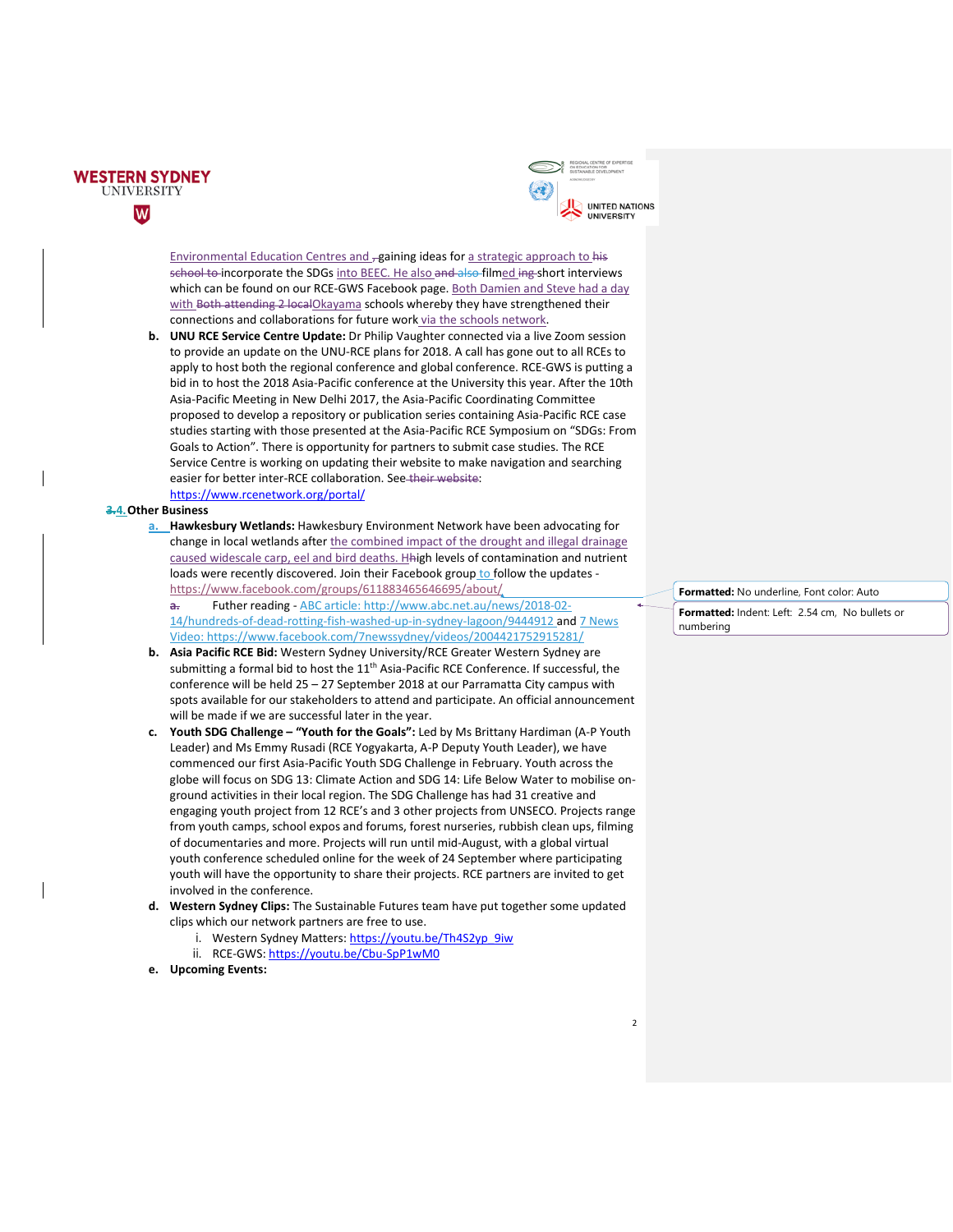



Environmental Education Centres and -gaining ideas for a strategic approach to his school to incorporate the SDGs into BEEC. He also and also filmed ing short interviews which can be found on our RCE-GWS Facebook page. Both Damien and Steve had a day with Both attending 2 localOkayama schools whereby they have strengthened their connections and collaborations for future work via the schools network.

**b. UNU RCE Service Centre Update:** Dr Philip Vaughter connected via a live Zoom session to provide an update on the UNU-RCE plans for 2018. A call has gone out to all RCEs to apply to host both the regional conference and global conference. RCE-GWS is putting a bid in to host the 2018 Asia-Pacific conference at the University this year. After the 10th Asia-Pacific Meeting in New Delhi 2017, the Asia-Pacific Coordinating Committee proposed to develop a repository or publication series containing Asia-Pacific RCE case studies starting with those presented at the Asia-Pacific RCE Symposium on "SDGs: From Goals to Action". There is opportunity for partners to submit case studies. The RCE Service Centre is working on updating their website to make navigation and searching easier for better inter-RCE collaboration. See-their website: <https://www.rcenetwork.org/portal/>

#### **3.4.Other Business**

- **a. Hawkesbury Wetlands:** Hawkesbury Environment Network have been advocating for change in local wetlands after the combined impact of the drought and illegal drainage caused widescale carp, eel and bird deaths. Hhigh levels of contamination and nutrient loads were recently discovered. Join their Facebook group to follow the updates <https://www.facebook.com/groups/611883465646695/about/>
	- **a.** Futher reading ABC article[: http://www.abc.net.au/news/2018-02-](http://www.abc.net.au/news/2018-02-14/hundreds-of-dead-rotting-fish-washed-up-in-sydney-lagoon/9444912) [14/hundreds-of-dead-rotting-fish-washed-up-in-sydney-lagoon/9444912](http://www.abc.net.au/news/2018-02-14/hundreds-of-dead-rotting-fish-washed-up-in-sydney-lagoon/9444912) and 7 News Video[: https://www.facebook.com/7newssydney/videos/2004421752915281/](https://www.facebook.com/7newssydney/videos/2004421752915281/)
- **b. Asia Pacific RCE Bid:** Western Sydney University/RCE Greater Western Sydney are submitting a formal bid to host the 11<sup>th</sup> Asia-Pacific RCE Conference. If successful, the conference will be held 25 – 27 September 2018 at our Parramatta City campus with spots available for our stakeholders to attend and participate. An official announcement will be made if we are successful later in the year.
- **c. Youth SDG Challenge – "Youth for the Goals":** Led by Ms Brittany Hardiman (A-P Youth Leader) and Ms Emmy Rusadi (RCE Yogyakarta, A-P Deputy Youth Leader), we have commenced our first Asia-Pacific Youth SDG Challenge in February. Youth across the globe will focus on SDG 13: Climate Action and SDG 14: Life Below Water to mobilise onground activities in their local region. The SDG Challenge has had 31 creative and engaging youth project from 12 RCE's and 3 other projects from UNSECO. Projects range from youth camps, school expos and forums, forest nurseries, rubbish clean ups, filming of documentaries and more. Projects will run until mid-August, with a global virtual youth conference scheduled online for the week of 24 September where participating youth will have the opportunity to share their projects. RCE partners are invited to get involved in the conference.
- **d. Western Sydney Clips:** The Sustainable Futures team have put together some updated clips which our network partners are free to use.
	- i. Western Sydney Matters: [https://youtu.be/Th4S2yp\\_9iw](https://youtu.be/Th4S2yp_9iw)
	- ii. RCE-GWS: <https://youtu.be/Cbu-SpP1wM0>
- **e. Upcoming Events:**

**Formatted:** No underline, Font color: Auto **Formatted:** Indent: Left: 2.54 cm, No bullets or numbering